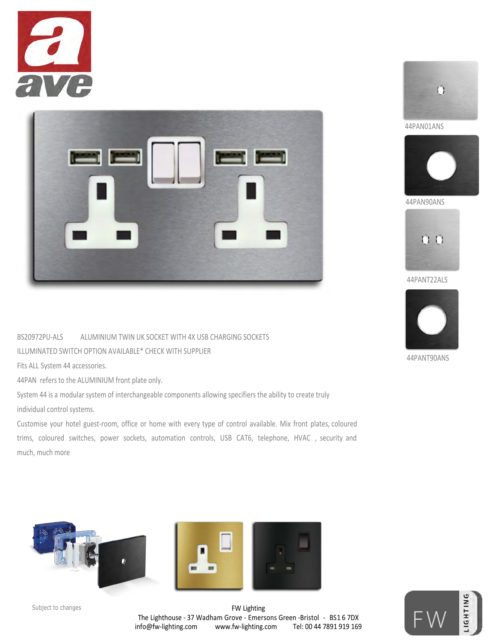



BS20972PU-ALS ALUMINIUM TWIN UK SOCKET WITH 4X USB CHARGING SOCKETS

ILLUMINATED SWITCH OPTION AVAILABLE\* CHECK WITH SUPPLIER

Fits ALL System 44 accessories.

44PAN refers to the ALUMINIUM front plate only.

System 44 is a modular system of interchangeable components allowing specifiers the ability to create truly individual control systems.

Customise your hotel guest-room, office or home with every type of control available. Mix front plates, coloured trims, coloured switches, power sockets, automation controls, USB CAT6, telephone, HVAC , security and much, much more















44PAN90ANS



44PANT22ALS



44PANT90ANS

FW Lighting The Lighthouse - 37 Wadham Grove - Emersons Green -Bristol - BS1 6 7DX info@fw-lighting.com www.fw-lighting.com Tel: 00 44 7891 919 169 Subject to changes and the control of the control of the control of the control of the control of  $\mathbb{E}$